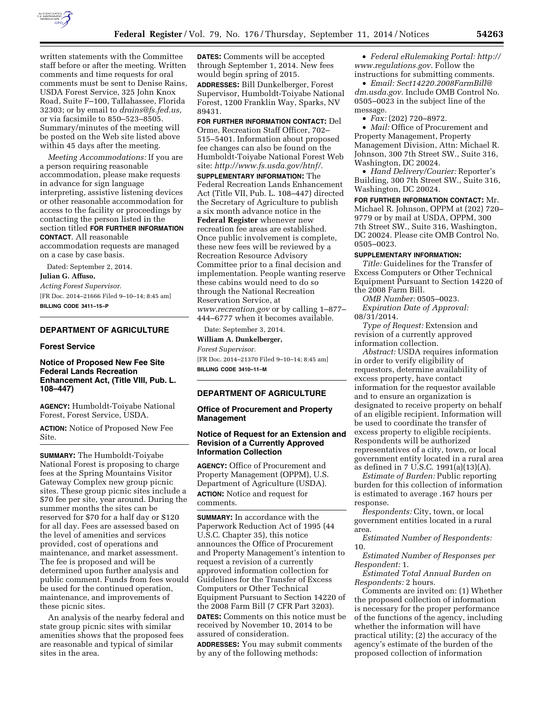

written statements with the Committee staff before or after the meeting. Written comments and time requests for oral comments must be sent to Denise Rains, USDA Forest Service, 325 John Knox Road, Suite F–100, Tallahassee, Florida 32303; or by email to *[drains@fs.fed.us,](mailto:drains@fs.fed.us)*  or via facsimile to 850–523–8505. Summary/minutes of the meeting will be posted on the Web site listed above within 45 days after the meeting.

*Meeting Accommodations:* If you are a person requiring reasonable accommodation, please make requests in advance for sign language interpreting, assistive listening devices or other reasonable accommodation for access to the facility or proceedings by contacting the person listed in the section titled **FOR FURTHER INFORMATION CONTACT**. All reasonable accommodation requests are managed on a case by case basis.

Dated: September 2, 2014.

**Julian G. Affuso,** 

*Acting Forest Supervisor.*  [FR Doc. 2014–21666 Filed 9–10–14; 8:45 am] **BILLING CODE 3411–15–P** 

# **DEPARTMENT OF AGRICULTURE**

### **Forest Service**

# **Notice of Proposed New Fee Site Federal Lands Recreation Enhancement Act, (Title VIII, Pub. L. 108–447)**

**AGENCY:** Humboldt-Toiyabe National Forest, Forest Service, USDA.

**ACTION:** Notice of Proposed New Fee Site.

**SUMMARY:** The Humboldt-Toiyabe National Forest is proposing to charge fees at the Spring Mountains Visitor Gateway Complex new group picnic sites. These group picnic sites include a \$70 fee per site, year around. During the summer months the sites can be reserved for \$70 for a half day or \$120 for all day. Fees are assessed based on the level of amenities and services provided, cost of operations and maintenance, and market assessment. The fee is proposed and will be determined upon further analysis and public comment. Funds from fees would be used for the continued operation, maintenance, and improvements of these picnic sites.

An analysis of the nearby federal and state group picnic sites with similar amenities shows that the proposed fees are reasonable and typical of similar sites in the area.

**DATES:** Comments will be accepted through September 1, 2014. New fees would begin spring of 2015. **ADDRESSES:** Bill Dunkelberger, Forest Supervisor, Humboldt-Toiyabe National Forest, 1200 Franklin Way, Sparks, NV 89431.

**FOR FURTHER INFORMATION CONTACT:** Del Orme, Recreation Staff Officer, 702– 515–5401. Information about proposed fee changes can also be found on the Humboldt-Toiyabe National Forest Web site: *[http://www.fs.usda.gov/htnf/.](http://www.fs.usda.gov/htnf/)* 

**SUPPLEMENTARY INFORMATION:** The Federal Recreation Lands Enhancement Act (Title VII, Pub. L. 108–447) directed the Secretary of Agriculture to publish a six month advance notice in the **Federal Register** whenever new recreation fee areas are established. Once public involvement is complete, these new fees will be reviewed by a Recreation Resource Advisory Committee prior to a final decision and implementation. People wanting reserve these cabins would need to do so through the National Recreation Reservation Service, at *[www.recreation.gov](http://www.recreation.gov)* or by calling 1–877– 444–6777 when it becomes available.

Date: September 3, 2014.

**William A. Dunkelberger,**  *Forest Supervisor.*  [FR Doc. 2014–21370 Filed 9–10–14; 8:45 am] **BILLING CODE 3410–11–M** 

## **DEPARTMENT OF AGRICULTURE**

# **Office of Procurement and Property Management**

# **Notice of Request for an Extension and Revision of a Currently Approved Information Collection**

**AGENCY:** Office of Procurement and Property Management (OPPM), U.S. Department of Agriculture (USDA). **ACTION:** Notice and request for comments.

**SUMMARY:** In accordance with the Paperwork Reduction Act of 1995 (44 U.S.C. Chapter 35), this notice announces the Office of Procurement and Property Management's intention to request a revision of a currently approved information collection for Guidelines for the Transfer of Excess Computers or Other Technical Equipment Pursuant to Section 14220 of the 2008 Farm Bill (7 CFR Part 3203). **DATES:** Comments on this notice must be received by November 10, 2014 to be assured of consideration.

**ADDRESSES:** You may submit comments by any of the following methods:

• *Federal eRulemaking Portal: [http://](http://www.regulations.gov)  [www.regulations.gov.](http://www.regulations.gov)* Follow the instructions for submitting comments.

• *Email: [Sect14220.2008FarmBill@](mailto:Sect14220.2008FarmBill@dm.usda.gov) [dm.usda.gov.](mailto:Sect14220.2008FarmBill@dm.usda.gov)* Include OMB Control No. 0505–0023 in the subject line of the message.

• *Fax:* (202) 720–8972.

• *Mail:* Office of Procurement and Property Management, Property Management Division, Attn: Michael R. Johnson, 300 7th Street SW., Suite 316, Washington, DC 20024.

• *Hand Delivery/Courier:* Reporter's Building, 300 7th Street SW., Suite 316, Washington, DC 20024.

**FOR FURTHER INFORMATION CONTACT:** Mr. Michael R. Johnson, OPPM at (202) 720– 9779 or by mail at USDA, OPPM, 300 7th Street SW., Suite 316, Washington, DC 20024. Please cite OMB Control No. 0505–0023.

### **SUPPLEMENTARY INFORMATION:**

*Title:* Guidelines for the Transfer of Excess Computers or Other Technical Equipment Pursuant to Section 14220 of the 2008 Farm Bill.

*OMB Number:* 0505–0023. *Expiration Date of Approval:*  08/31/2014.

*Type of Request:* Extension and revision of a currently approved information collection.

*Abstract:* USDA requires information in order to verify eligibility of requestors, determine availability of excess property, have contact information for the requestor available and to ensure an organization is designated to receive property on behalf of an eligible recipient. Information will be used to coordinate the transfer of excess property to eligible recipients. Respondents will be authorized representatives of a city, town, or local government entity located in a rural area as defined in 7 U.S.C. 1991(a)(13)(A).

*Estimate of Burden:* Public reporting burden for this collection of information is estimated to average .167 hours per response.

*Respondents:* City, town, or local government entities located in a rural area.

*Estimated Number of Respondents:*  10.

*Estimated Number of Responses per Respondent:* 1.

*Estimated Total Annual Burden on Respondents:* 2 hours.

Comments are invited on: (1) Whether the proposed collection of information is necessary for the proper performance of the functions of the agency, including whether the information will have practical utility; (2) the accuracy of the agency's estimate of the burden of the proposed collection of information